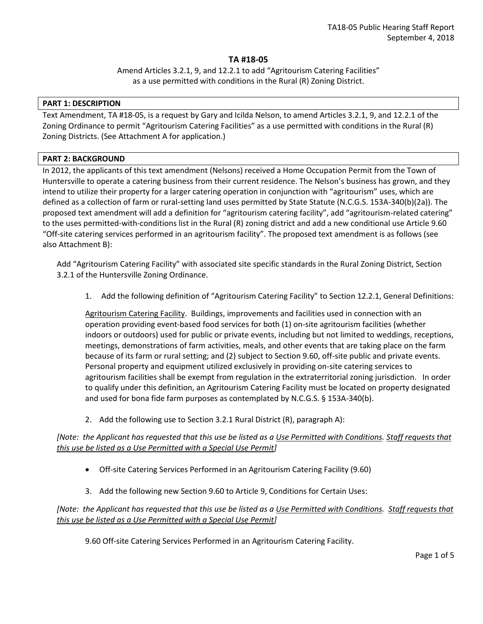# **TA #18-05**

Amend Articles 3.2.1, 9, and 12.2.1 to add "Agritourism Catering Facilities" as a use permitted with conditions in the Rural (R) Zoning District.

#### **PART 1: DESCRIPTION**

Text Amendment, TA #18-05, is a request by Gary and Icilda Nelson, to amend Articles 3.2.1, 9, and 12.2.1 of the Zoning Ordinance to permit "Agritourism Catering Facilities" as a use permitted with conditions in the Rural (R) Zoning Districts. (See Attachment A for application.)

### **PART 2: BACKGROUND**

In 2012, the applicants of this text amendment (Nelsons) received a Home Occupation Permit from the Town of Huntersville to operate a catering business from their current residence. The Nelson's business has grown, and they intend to utilize their property for a larger catering operation in conjunction with "agritourism" uses, which are defined as a collection of farm or rural-setting land uses permitted by State Statute (N.C.G.S. 153A-340(b)(2a)). The proposed text amendment will add a definition for "agritourism catering facility", add "agritourism-related catering" to the uses permitted-with-conditions list in the Rural (R) zoning district and add a new conditional use Article 9.60 "Off-site catering services performed in an agritourism facility". The proposed text amendment is as follows (see also Attachment B):

Add "Agritourism Catering Facility" with associated site specific standards in the Rural Zoning District, Section 3.2.1 of the Huntersville Zoning Ordinance.

1. Add the following definition of "Agritourism Catering Facility" to Section 12.2.1, General Definitions:

Agritourism Catering Facility. Buildings, improvements and facilities used in connection with an operation providing event-based food services for both (1) on-site agritourism facilities (whether indoors or outdoors) used for public or private events, including but not limited to weddings, receptions, meetings, demonstrations of farm activities, meals, and other events that are taking place on the farm because of its farm or rural setting; and (2) subject to Section 9.60, off-site public and private events. Personal property and equipment utilized exclusively in providing on-site catering services to agritourism facilities shall be exempt from regulation in the extraterritorial zoning jurisdiction. In order to qualify under this definition, an Agritourism Catering Facility must be located on property designated and used for bona fide farm purposes as contemplated by N.C.G.S. § 153A-340(b).

2. Add the following use to Section 3.2.1 Rural District (R), paragraph A):

*[Note: the Applicant has requested that this use be listed as a Use Permitted with Conditions. Staff requests that this use be listed as a Use Permitted with a Special Use Permit]*

- Off-site Catering Services Performed in an Agritourism Catering Facility (9.60)
- 3. Add the following new Section 9.60 to Article 9, Conditions for Certain Uses:

# *[Note: the Applicant has requested that this use be listed as a Use Permitted with Conditions. Staff requests that this use be listed as a Use Permitted with a Special Use Permit]*

9.60 Off-site Catering Services Performed in an Agritourism Catering Facility.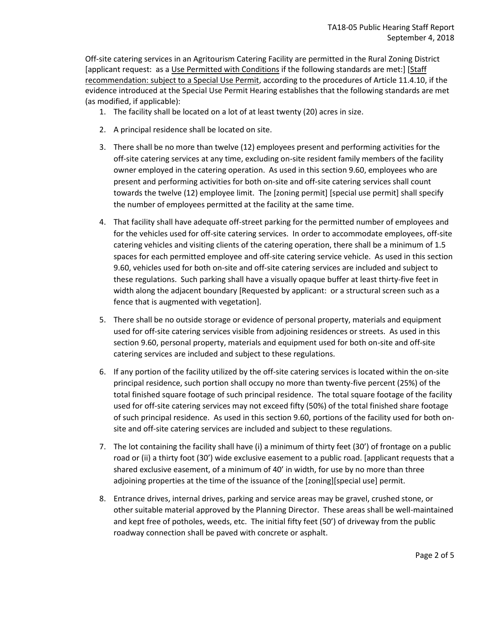Off-site catering services in an Agritourism Catering Facility are permitted in the Rural Zoning District [applicant request: as a Use Permitted with Conditions if the following standards are met:] [Staff recommendation: subject to a Special Use Permit, according to the procedures of Article 11.4.10, if the evidence introduced at the Special Use Permit Hearing establishes that the following standards are met (as modified, if applicable):

- 1. The facility shall be located on a lot of at least twenty (20) acres in size.
- 2. A principal residence shall be located on site.
- 3. There shall be no more than twelve (12) employees present and performing activities for the off-site catering services at any time, excluding on-site resident family members of the facility owner employed in the catering operation. As used in this section 9.60, employees who are present and performing activities for both on-site and off-site catering services shall count towards the twelve (12) employee limit. The [zoning permit] [special use permit] shall specify the number of employees permitted at the facility at the same time.
- 4. That facility shall have adequate off-street parking for the permitted number of employees and for the vehicles used for off-site catering services. In order to accommodate employees, off-site catering vehicles and visiting clients of the catering operation, there shall be a minimum of 1.5 spaces for each permitted employee and off-site catering service vehicle. As used in this section 9.60, vehicles used for both on-site and off-site catering services are included and subject to these regulations. Such parking shall have a visually opaque buffer at least thirty-five feet in width along the adjacent boundary [Requested by applicant: or a structural screen such as a fence that is augmented with vegetation].
- 5. There shall be no outside storage or evidence of personal property, materials and equipment used for off-site catering services visible from adjoining residences or streets. As used in this section 9.60, personal property, materials and equipment used for both on-site and off-site catering services are included and subject to these regulations.
- 6. If any portion of the facility utilized by the off-site catering services is located within the on-site principal residence, such portion shall occupy no more than twenty-five percent (25%) of the total finished square footage of such principal residence. The total square footage of the facility used for off-site catering services may not exceed fifty (50%) of the total finished share footage of such principal residence. As used in this section 9.60, portions of the facility used for both onsite and off-site catering services are included and subject to these regulations.
- 7. The lot containing the facility shall have (i) a minimum of thirty feet (30') of frontage on a public road or (ii) a thirty foot (30') wide exclusive easement to a public road. [applicant requests that a shared exclusive easement, of a minimum of 40' in width, for use by no more than three adjoining properties at the time of the issuance of the [zoning][special use] permit.
- 8. Entrance drives, internal drives, parking and service areas may be gravel, crushed stone, or other suitable material approved by the Planning Director. These areas shall be well-maintained and kept free of potholes, weeds, etc. The initial fifty feet (50') of driveway from the public roadway connection shall be paved with concrete or asphalt.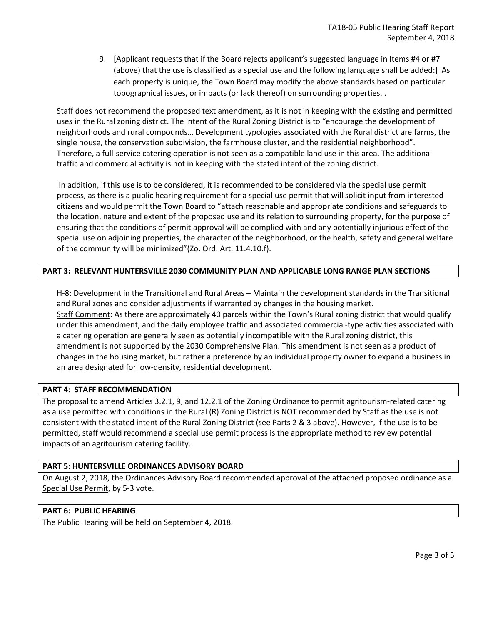9. [Applicant requests that if the Board rejects applicant's suggested language in Items #4 or #7 (above) that the use is classified as a special use and the following language shall be added:] As each property is unique, the Town Board may modify the above standards based on particular topographical issues, or impacts (or lack thereof) on surrounding properties. .

Staff does not recommend the proposed text amendment, as it is not in keeping with the existing and permitted uses in the Rural zoning district. The intent of the Rural Zoning District is to "encourage the development of neighborhoods and rural compounds… Development typologies associated with the Rural district are farms, the single house, the conservation subdivision, the farmhouse cluster, and the residential neighborhood". Therefore, a full-service catering operation is not seen as a compatible land use in this area. The additional traffic and commercial activity is not in keeping with the stated intent of the zoning district.

In addition, if this use is to be considered, it is recommended to be considered via the special use permit process, as there is a public hearing requirement for a special use permit that will solicit input from interested citizens and would permit the Town Board to "attach reasonable and appropriate conditions and safeguards to the location, nature and extent of the proposed use and its relation to surrounding property, for the purpose of ensuring that the conditions of permit approval will be complied with and any potentially injurious effect of the special use on adjoining properties, the character of the neighborhood, or the health, safety and general welfare of the community will be minimized"(Zo. Ord. Art. 11.4.10.f).

# **PART 3: RELEVANT HUNTERSVILLE 2030 COMMUNITY PLAN AND APPLICABLE LONG RANGE PLAN SECTIONS**

H-8: Development in the Transitional and Rural Areas – Maintain the development standards in the Transitional and Rural zones and consider adjustments if warranted by changes in the housing market. Staff Comment: As there are approximately 40 parcels within the Town's Rural zoning district that would qualify under this amendment, and the daily employee traffic and associated commercial-type activities associated with a catering operation are generally seen as potentially incompatible with the Rural zoning district, this amendment is not supported by the 2030 Comprehensive Plan. This amendment is not seen as a product of changes in the housing market, but rather a preference by an individual property owner to expand a business in an area designated for low-density, residential development.

### **PART 4: STAFF RECOMMENDATION**

The proposal to amend Articles 3.2.1, 9, and 12.2.1 of the Zoning Ordinance to permit agritourism-related catering as a use permitted with conditions in the Rural (R) Zoning District is NOT recommended by Staff as the use is not consistent with the stated intent of the Rural Zoning District (see Parts 2 & 3 above). However, if the use is to be permitted, staff would recommend a special use permit process is the appropriate method to review potential impacts of an agritourism catering facility.

### **PART 5: HUNTERSVILLE ORDINANCES ADVISORY BOARD**

On August 2, 2018, the Ordinances Advisory Board recommended approval of the attached proposed ordinance as a Special Use Permit, by 5-3 vote.

### **PART 6: PUBLIC HEARING**

The Public Hearing will be held on September 4, 2018.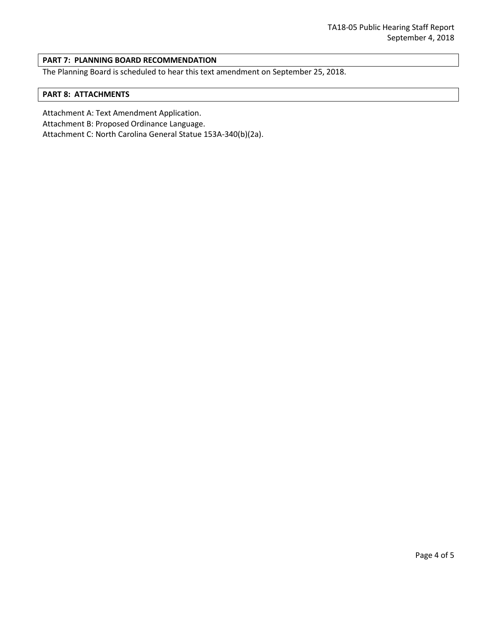### **PART 7: PLANNING BOARD RECOMMENDATION**

The Planning Board is scheduled to hear this text amendment on September 25, 2018.

#### **PART 8: ATTACHMENTS**

Attachment A: Text Amendment Application.

Attachment B: Proposed Ordinance Language.

Attachment C: North Carolina General Statue 153A-340(b)(2a).